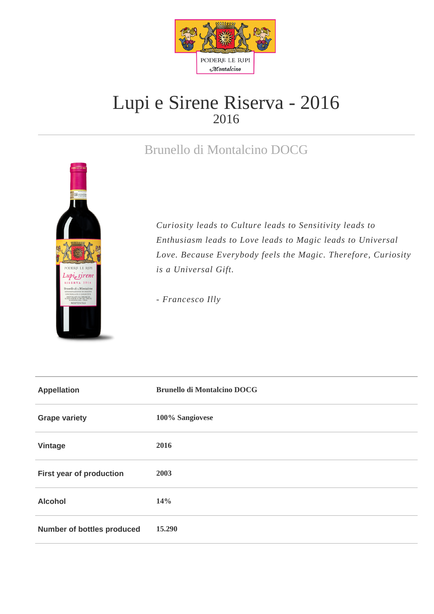

## Lupi e Sirene Riserva - 2016 2016

## Brunello di Montalcino DOCG



*Curiosity leads to Culture leads to Sensitivity leads to Enthusiasm leads to Love leads to Magic leads to Universal Love. Because Everybody feels the Magic. Therefore, Curiosity is a Universal Gift.* 

*- Francesco Illy*

| <b>Appellation</b>                | <b>Brunello di Montalcino DOCG</b> |
|-----------------------------------|------------------------------------|
| <b>Grape variety</b>              | 100% Sangiovese                    |
| <b>Vintage</b>                    | 2016                               |
| First year of production          | 2003                               |
| <b>Alcohol</b>                    | 14%                                |
| <b>Number of bottles produced</b> | 15.290                             |